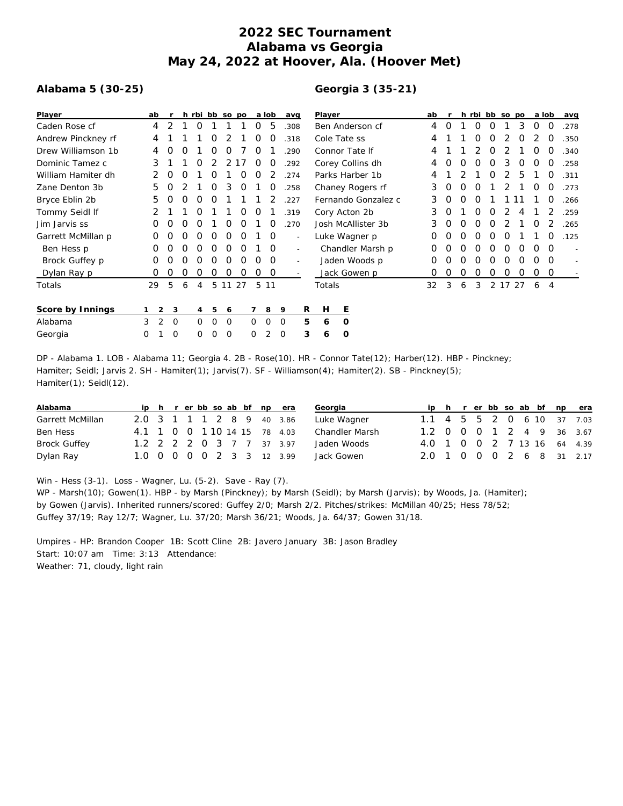## **2022 SEC Tournament Alabama vs Georgia May 24, 2022 at Hoover, Ala. (Hoover Met)**

## **Alabama 5 (30-25)**

## **Georgia 3 (35-21)**

| Player             | ab |               |   |          |          | h rbi bb so po |    |          | a lob    | avg                      |   | Player              |    |   |          |   |   | h rbi bb so po |          | a lob    |          | avg  |
|--------------------|----|---------------|---|----------|----------|----------------|----|----------|----------|--------------------------|---|---------------------|----|---|----------|---|---|----------------|----------|----------|----------|------|
| Caden Rose cf      | 4  |               |   | O        |          |                |    | Ő        | 5        | .308                     |   | Ben Anderson cf     |    | O |          | O | O |                | 3        | 0        | $\Omega$ | .278 |
| Andrew Pinckney rf | 4  |               |   |          | O        |                |    | O        | O        | .318                     |   | Cole Tate ss        |    |   |          | O | O |                | O        |          | O        | .350 |
| Drew Williamson 1b | 4  |               | Ω |          | Ω        | Ο              |    | O        |          | .290                     |   | Connor Tate If      |    |   |          |   | O |                |          | Ο        | $\Omega$ | .340 |
| Dominic Tamez c    | 3  |               |   |          | 2        | 2              |    | O        | O        | .292                     |   | Corey Collins dh    | 4  | 0 | 0        | O | 0 | 3              | $\Omega$ | $\Omega$ | $\Omega$ | .258 |
| William Hamiter dh |    | O             |   |          | Ω        |                | O  | O        |          | .274                     |   | Parks Harber 1b     | 4  |   |          |   | O | 2              | 5        |          | O        | .311 |
| Zane Denton 3b     | 5. |               |   |          | $\Omega$ | 3              | 0  |          | O        | .258                     |   | Chaney Rogers rf    |    | O | $\Omega$ | O |   |                |          | O        | $\Omega$ | .273 |
| Bryce Eblin 2b     | 5. |               | Ω | O        | O        |                |    |          |          | .227                     |   | Fernando Gonzalez c |    | 0 | 0        | O |   |                |          |          | 0        | .266 |
| Tommy Seidl If     |    |               |   |          |          |                | O  | O        |          | .319                     |   | Cory Acton 2b       |    | 0 |          | O | O |                |          |          |          | .259 |
| Jim Jarvis ss      | Ο  |               |   | Ω        |          | Ο              | O  |          | O        | .270                     |   | Josh McAllister 3b  | 3  | 0 | 0        | O | O |                |          | O        |          | 265  |
| Garrett McMillan p | 0  |               |   | O        | O        | O              | 0  |          | $\circ$  | $\overline{\phantom{a}}$ |   | Luke Wagner p       | 0  | Ο | Ω        | O | O | O              |          |          | O        | .125 |
| Ben Hess p         | Ο  |               |   | Ω        | O        | Ο              | O  |          | $\Omega$ | $\sim$                   |   | Chandler Marsh p    |    | Ω | Ω        | 0 | O | 0              | 0        | 0        | $\Omega$ |      |
| Brock Guffey p     | 0  |               |   |          | Ω        | Ω              | Ο  | Ω        | $\Omega$ | $\sim$                   |   | Jaden Woods p       |    | Ω | Ω        | O | O | O              | Ω        | 0        | $\Omega$ |      |
| Dylan Ray p        | Ο  |               |   |          | Ο        | Ο              | Ο  | Ο        | $\circ$  |                          |   | Jack Gowen p        | O  | Ο | Ο        | O | O | 0              | O        | 0        | 0        |      |
| Totals             | 29 | 5             | 6 | 4        | 5        | 11             | 27 | 5        | 11       |                          |   | Totals              | 32 | 3 | 6        | 3 |   | 2 17 27        |          | 6        | 4        |      |
| Score by Innings   |    | 2             | 3 | 4        | 5        | 6              |    |          | 8        | 9                        | R | Е<br>Н              |    |   |          |   |   |                |          |          |          |      |
| Alabama            | 3  | 2<br>$\Omega$ |   | $\Omega$ | $\Omega$ | O              |    | $\Omega$ | $\Omega$ | $\Omega$                 | 5 | 0<br>6              |    |   |          |   |   |                |          |          |          |      |
| Georgia            | 0  | 0             |   | $\Omega$ | Ω        | O              |    |          |          | $\Omega$                 | 3 | O<br>6              |    |   |          |   |   |                |          |          |          |      |

DP - Alabama 1. LOB - Alabama 11; Georgia 4. 2B - Rose(10). HR - Connor Tate(12); Harber(12). HBP - Pinckney; Hamiter; Seidl; Jarvis 2. SH - Hamiter(1); Jarvis(7). SF - Williamson(4); Hamiter(2). SB - Pinckney(5); Hamiter(1); Seidl(12).

| Alabama          |  |  |  |  | ip h r er bb so ab bf np era | Georgia               |                             |  |  |  |  | ip h r er bb so ab bf np era |
|------------------|--|--|--|--|------------------------------|-----------------------|-----------------------------|--|--|--|--|------------------------------|
| Garrett McMillan |  |  |  |  | 2.0 3 1 1 1 2 8 9 40 3.86    | Luke Wagner           | 1.1 4 5 5 2 0 6 10 37 7.03  |  |  |  |  |                              |
| Ben Hess         |  |  |  |  | 4.1 1 0 0 1 10 14 15 78 4.03 | <b>Chandler Marsh</b> | 1.2 0 0 0 1 2 4 9 36 3.67   |  |  |  |  |                              |
| Brock Guffey     |  |  |  |  | 1.2 2 2 2 0 3 7 7 37 3.97    | Jaden Woods           | 4.0 1 0 0 2 7 13 16 64 4.39 |  |  |  |  |                              |
| Dylan Ray        |  |  |  |  | 1.0 0 0 0 0 2 3 3 12 3.99    | Jack Gowen            | 2.0 1 0 0 0 2 6 8 31 2.17   |  |  |  |  |                              |

Win - Hess (3-1). Loss - Wagner, Lu. (5-2). Save - Ray (7).

WP - Marsh(10); Gowen(1). HBP - by Marsh (Pinckney); by Marsh (Seidl); by Marsh (Jarvis); by Woods, Ja. (Hamiter); by Gowen (Jarvis). Inherited runners/scored: Guffey 2/0; Marsh 2/2. Pitches/strikes: McMillan 40/25; Hess 78/52; Guffey 37/19; Ray 12/7; Wagner, Lu. 37/20; Marsh 36/21; Woods, Ja. 64/37; Gowen 31/18.

Umpires - HP: Brandon Cooper 1B: Scott Cline 2B: Javero January 3B: Jason Bradley Start: 10:07 am Time: 3:13 Attendance: Weather: 71, cloudy, light rain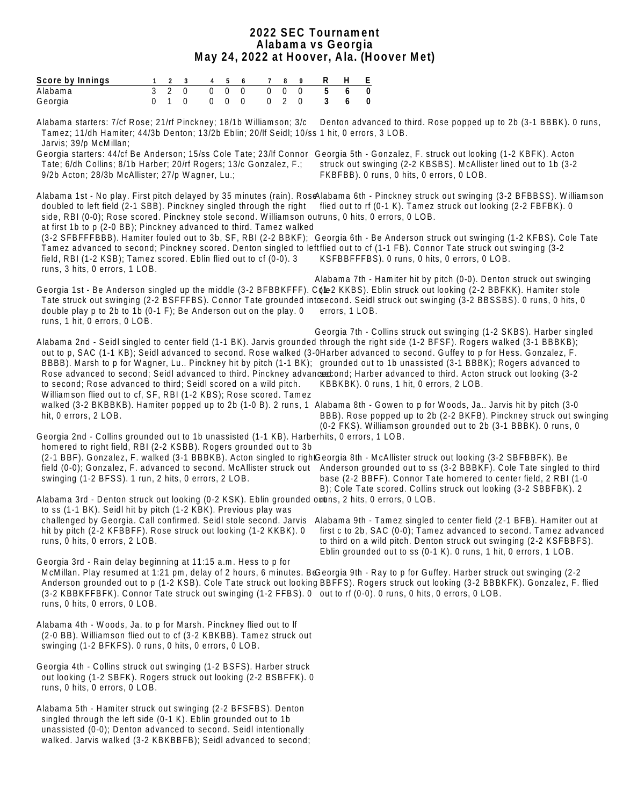#### **2022 SEC Tournament Alabama vs Georgia May 24, 2022 at Hoover, Ala. (Hoover Met)**

| Score by Innings 1 2 3 4 5 6 7 8 9 R H E |  |  |  |  |                         |  |
|------------------------------------------|--|--|--|--|-------------------------|--|
| Alabama                                  |  |  |  |  | 3 2 0 0 0 0 0 0 0 5 6 0 |  |
| Georgia                                  |  |  |  |  | 0 1 0 0 0 0 0 2 0 3 6 0 |  |

Alabama starters: 7/cf Rose; 21/rf Pinckney; 18/1b Williamson; 3/c Denton advanced to third. Rose popped up to 2b (3-1 BBBK). 0 runs, Tamez; 11/dh Hamiter; 44/3b Denton; 13/2b Eblin; 20/lf Seidl; 10/ss 1 hit, 0 errors, 3 LOB. Jarvis; 39/p McMillan;

Georgia starters: 44/cf Be Anderson; 15/ss Cole Tate; 23/lf Connor Georgia 5th - Gonzalez, F. struck out looking (1-2 KBFK). Acton Tate; 6/dh Collins; 8/1b Harber; 20/rf Rogers; 13/c Gonzalez, F.; 9/2b Acton; 28/3b McAllister; 27/p Wagner, Lu.; struck out swinging (2-2 KBSBS). McAllister lined out to 1b (3-2 FKBFBB). 0 runs, 0 hits, 0 errors, 0 LOB.

Alabama 1st - No play. First pitch delayed by 35 minutes (rain). RoseAlabama 6th - Pinckney struck out swinging (3-2 BFBBSS). Williamson doubled to left field (2-1 SBB). Pinckney singled through the right side, RBI (0-0); Rose scored. Pinckney stole second. Williamson outruns, 0 hits, 0 errors, 0 LOB. at first 1b to p (2-0 BB); Pinckney advanced to third. Tamez walked flied out to rf (0-1 K). Tamez struck out looking (2-2 FBFBK). 0

 (3-2 SFBFFFBBB). Hamiter fouled out to 3b, SF, RBI (2-2 BBKF); Georgia 6th - Be Anderson struck out swinging (1-2 KFBS). Cole Tate Tamez advanced to second; Pinckney scored. Denton singled to leftflied out to cf (1-1 FB). Connor Tate struck out swinging (3-2 field, RBI (1-2 KSB); Tamez scored. Eblin flied out to cf (0-0). 3 runs, 3 hits, 0 errors, 1 LOB. KSFBBFFFBS). 0 runs, 0 hits, 0 errors, 0 LOB.

Georgia 1st - Be Anderson singled up the middle (3-2 BFBBKFFF). Conel KKBS). Eblin struck out looking (2-2 BBFKK). Hamiter stole Tate struck out swinging (2-2 BSFFFBS). Connor Tate grounded intosecond. Seidl struck out swinging (3-2 BBSSBS). 0 runs, 0 hits, 0 double play p to 2b to 1b (0-1 F); Be Anderson out on the play. 0 runs, 1 hit, 0 errors, 0 LOB. Alabama 7th - Hamiter hit by pitch (0-0). Denton struck out swinging errors, 1 LOB.

Alabama 2nd - Seidl singled to center field (1-1 BK). Jarvis grounded through the right side (1-2 BFSF). Rogers walked (3-1 BBBKB); out to p, SAC (1-1 KB); Seidl advanced to second. Rose walked (3-0Harber advanced to second. Guffey to p for Hess. Gonzalez, F. BBBB). Marsh to p for Wagner, Lu.. Pinckney hit by pitch (1-1 BK); grounded out to 1b unassisted (3-1 BBBK); Rogers advanced to Rose advanced to second; Seidl advanced to third. Pinckney advanced bit Harber advanced to third. Acton struck out looking (3-2 to second; Rose advanced to third; Seidl scored on a wild pitch. Williamson flied out to cf, SF, RBI (1-2 KBS); Rose scored. Tamez walked (3-2 BKBBKB). Hamiter popped up to 2b (1-0 B). 2 runs, 1 Alabama 8th - Gowen to p for Woods, Ja.. Jarvis hit by pitch (3-0 hit, 0 errors, 2 LOB. Georgia 7th - Collins struck out swinging (1-2 SKBS). Harber singled KBBKBK). 0 runs, 1 hit, 0 errors, 2 LOB. BBB). Rose popped up to 2b (2-2 BKFB). Pinckney struck out swinging

Georgia 2nd - Collins grounded out to 1b unassisted (1-1 KB). Harberhits, 0 errors, 1 LOB. homered to right field, RBI (2-2 KSBB). Rogers grounded out to 3b (2-1 BBF). Gonzalez, F. walked (3-1 BBBKB). Acton singled to right Georgia 8th - McAllister struck out looking (3-2 SBFBBFK). Be field (0-0); Gonzalez, F. advanced to second. McAllister struck out Anderson grounded out to ss (3-2 BBBKF). Cole Tate singled to third (0-2 FKS). Williamson grounded out to 2b (3-1 BBBK). 0 runs, 0

Alabama 3rd - Denton struck out looking (0-2 KSK). Eblin grounded owtuns, 2 hits, 0 errors, 0 LOB. to ss (1-1 BK). Seidl hit by pitch (1-2 KBK). Previous play was hit by pitch (2-2 KFBBFF). Rose struck out looking (1-2 KKBK). 0 runs, 0 hits, 0 errors, 2 LOB.

swinging (1-2 BFSS). 1 run, 2 hits, 0 errors, 2 LOB.

 challenged by Georgia. Call confirmed. Seidl stole second. Jarvis Alabama 9th - Tamez singled to center field (2-1 BFB). Hamiter out at first c to 2b, SAC (0-0); Tamez advanced to second. Tamez advanced to third on a wild pitch. Denton struck out swinging (2-2 KSFBBFS).

 base (2-2 BBFF). Connor Tate homered to center field, 2 RBI (1-0 B); Cole Tate scored. Collins struck out looking (3-2 SBBFBK). 2

Georgia 3rd - Rain delay beginning at 11:15 a.m. Hess to p for McMillan. Play resumed at 1:21 pm, delay of 2 hours, 6 minutes. Be Georgia 9th - Ray to p for Guffey. Harber struck out swinging (2-2 Anderson grounded out to p (1-2 KSB). Cole Tate struck out looking BBFFS). Rogers struck out looking (3-2 BBBKFK). Gonzalez, F. flied (3-2 KBBKFFBFK). Connor Tate struck out swinging (1-2 FFBS). 0 out to rf (0-0). 0 runs, 0 hits, 0 errors, 0 LOB. runs, 0 hits, 0 errors, 0 LOB. Eblin grounded out to ss (0-1 K). 0 runs, 1 hit, 0 errors, 1 LOB.

Alabama 4th - Woods, Ja. to p for Marsh. Pinckney flied out to lf (2-0 BB). Williamson flied out to cf (3-2 KBKBB). Tamez struck out swinging (1-2 BFKFS). 0 runs, 0 hits, 0 errors, 0 LOB.

Georgia 4th - Collins struck out swinging (1-2 BSFS). Harber struck out looking (1-2 SBFK). Rogers struck out looking (2-2 BSBFFK). 0 runs, 0 hits, 0 errors, 0 LOB.

Alabama 5th - Hamiter struck out swinging (2-2 BFSFBS). Denton singled through the left side (0-1 K). Eblin grounded out to 1b unassisted (0-0); Denton advanced to second. Seidl intentionally walked. Jarvis walked (3-2 KBKBBFB); Seidl advanced to second;